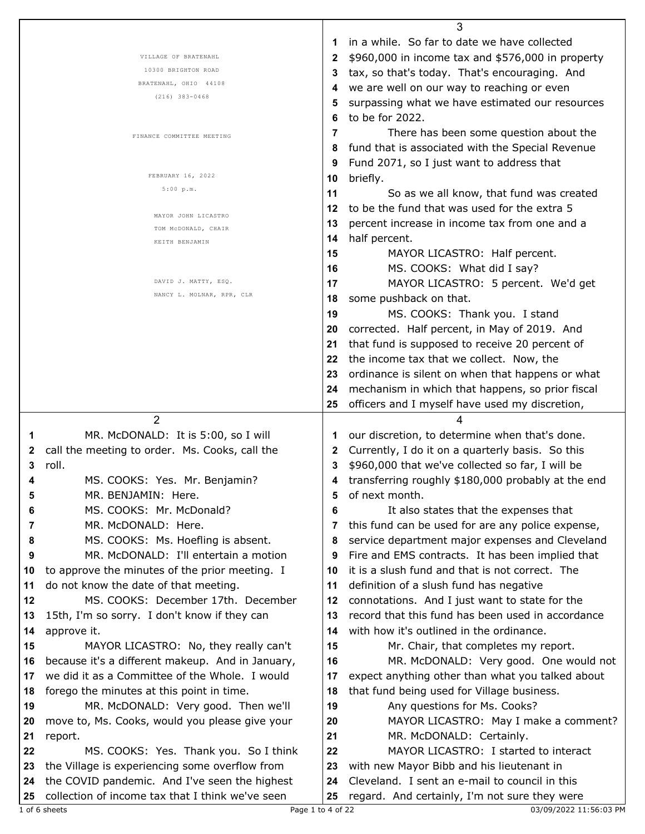|    |                                                  |    | 3                                                  |
|----|--------------------------------------------------|----|----------------------------------------------------|
|    |                                                  | 1  | in a while. So far to date we have collected       |
|    | VILLAGE OF BRATENAHL                             | 2  | \$960,000 in income tax and \$576,000 in property  |
|    | 10300 BRIGHTON ROAD                              | 3  | tax, so that's today. That's encouraging. And      |
|    | BRATENAHL, OHIO 44108                            |    | we are well on our way to reaching or even         |
|    | $(216)$ 383-0468                                 | 5  | surpassing what we have estimated our resources    |
|    |                                                  | 6  | to be for 2022.                                    |
|    |                                                  |    |                                                    |
|    | FINANCE COMMITTEE MEETING                        | 7  | There has been some question about the             |
|    |                                                  | 8  | fund that is associated with the Special Revenue   |
|    |                                                  | 9  | Fund 2071, so I just want to address that          |
|    | FEBRUARY 16, 2022                                | 10 | briefly.                                           |
|    | 5:00 p.m.                                        | 11 | So as we all know, that fund was created           |
|    |                                                  | 12 | to be the fund that was used for the extra 5       |
|    | MAYOR JOHN LICASTRO                              | 13 | percent increase in income tax from one and a      |
|    | TOM MCDONALD, CHAIR<br>KEITH BENJAMIN            | 14 | half percent.                                      |
|    |                                                  | 15 | MAYOR LICASTRO: Half percent.                      |
|    |                                                  | 16 | MS. COOKS: What did I say?                         |
|    | DAVID J. MATTY, ESQ.                             | 17 | MAYOR LICASTRO: 5 percent. We'd get                |
|    | NANCY L. MOLNAR, RPR, CLR                        |    |                                                    |
|    |                                                  | 18 | some pushback on that.                             |
|    |                                                  | 19 | MS. COOKS: Thank you. I stand                      |
|    |                                                  | 20 | corrected. Half percent, in May of 2019. And       |
|    |                                                  | 21 | that fund is supposed to receive 20 percent of     |
|    |                                                  | 22 | the income tax that we collect. Now, the           |
|    |                                                  | 23 | ordinance is silent on when that happens or what   |
|    |                                                  | 24 | mechanism in which that happens, so prior fiscal   |
|    |                                                  | 25 | officers and I myself have used my discretion,     |
|    | $\overline{2}$                                   |    | 4                                                  |
| 1  | MR. McDONALD: It is 5:00, so I will              | 1  | our discretion, to determine when that's done.     |
| 2  | call the meeting to order. Ms. Cooks, call the   | 2  | Currently, I do it on a quarterly basis. So this   |
| 3  | roll.                                            | 3  | \$960,000 that we've collected so far, I will be   |
| 4  | MS. COOKS: Yes. Mr. Benjamin?                    | 4  | transferring roughly \$180,000 probably at the end |
| ວ  | MR. BENJAMIN: Here.                              |    | of next month.                                     |
| 6  | MS. COOKS: Mr. McDonald?                         | 6  | It also states that the expenses that              |
| 7  | MR. McDONALD: Here.                              | 7  | this fund can be used for are any police expense,  |
|    | MS. COOKS: Ms. Hoefling is absent.               |    |                                                    |
| 8  |                                                  | 8  | service department major expenses and Cleveland    |
| 9  | MR. McDONALD: I'll entertain a motion            | 9  | Fire and EMS contracts. It has been implied that   |
| 10 | to approve the minutes of the prior meeting. I   | 10 | it is a slush fund and that is not correct. The    |
| 11 | do not know the date of that meeting.            | 11 | definition of a slush fund has negative            |
| 12 | MS. COOKS: December 17th. December               | 12 | connotations. And I just want to state for the     |
| 13 | 15th, I'm so sorry. I don't know if they can     | 13 | record that this fund has been used in accordance  |
| 14 | approve it.                                      | 14 | with how it's outlined in the ordinance.           |
| 15 | MAYOR LICASTRO: No, they really can't            | 15 | Mr. Chair, that completes my report.               |
| 16 | because it's a different makeup. And in January, | 16 | MR. McDONALD: Very good. One would not             |
| 17 | we did it as a Committee of the Whole. I would   | 17 | expect anything other than what you talked about   |
| 18 | forego the minutes at this point in time.        | 18 | that fund being used for Village business.         |
| 19 | MR. McDONALD: Very good. Then we'll              | 19 | Any questions for Ms. Cooks?                       |
| 20 | move to, Ms. Cooks, would you please give your   | 20 | MAYOR LICASTRO: May I make a comment?              |
| 21 | report.                                          | 21 | MR. McDONALD: Certainly.                           |
| 22 | MS. COOKS: Yes. Thank you. So I think            | 22 | MAYOR LICASTRO: I started to interact              |
| 23 | the Village is experiencing some overflow from   | 23 | with new Mayor Bibb and his lieutenant in          |
| 24 | the COVID pandemic. And I've seen the highest    | 24 | Cleveland. I sent an e-mail to council in this     |
| 25 | collection of income tax that I think we've seen | 25 | regard. And certainly, I'm not sure they were      |
|    | Page 1 to 4 of 22<br>1 of 6 sheets               |    | 03/09/2022 11:56:03 PM                             |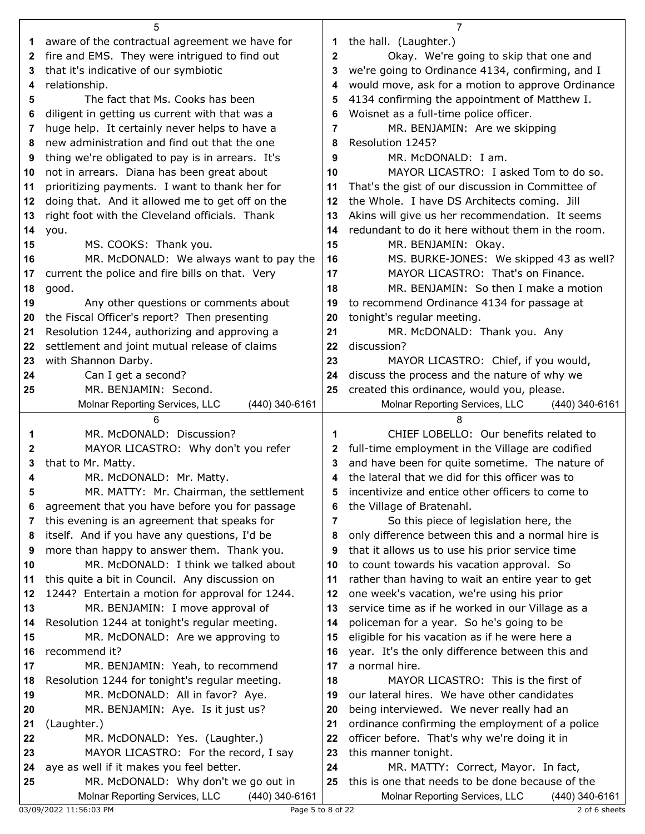|    | 5                                                                                        |              | $\overline{7}$                                                                                         |
|----|------------------------------------------------------------------------------------------|--------------|--------------------------------------------------------------------------------------------------------|
| 1. | aware of the contractual agreement we have for                                           | 1            | the hall. (Laughter.)                                                                                  |
| 2  | fire and EMS. They were intrigued to find out                                            | $\mathbf{2}$ | Okay. We're going to skip that one and                                                                 |
| 3  | that it's indicative of our symbiotic                                                    | 3            | we're going to Ordinance 4134, confirming, and I                                                       |
| 4  | relationship.                                                                            | 4            | would move, ask for a motion to approve Ordinance                                                      |
| 5  | The fact that Ms. Cooks has been                                                         | 5            | 4134 confirming the appointment of Matthew I.                                                          |
| 6  | diligent in getting us current with that was a                                           | 6            | Woisnet as a full-time police officer.                                                                 |
| 7  | huge help. It certainly never helps to have a                                            | 7            | MR. BENJAMIN: Are we skipping                                                                          |
| 8  | new administration and find out that the one                                             | 8            | Resolution 1245?                                                                                       |
| 9  | thing we're obligated to pay is in arrears. It's                                         | 9            | MR. McDONALD: I am.                                                                                    |
| 10 | not in arrears. Diana has been great about                                               | 10           | MAYOR LICASTRO: I asked Tom to do so.                                                                  |
| 11 | prioritizing payments. I want to thank her for                                           | 11           | That's the gist of our discussion in Committee of                                                      |
| 12 | doing that. And it allowed me to get off on the                                          | 12           | the Whole. I have DS Architects coming. Jill                                                           |
| 13 | right foot with the Cleveland officials. Thank                                           | 13           | Akins will give us her recommendation. It seems                                                        |
| 14 |                                                                                          | 14           | redundant to do it here without them in the room.                                                      |
|    | you.<br>MS. COOKS: Thank you.                                                            |              | MR. BENJAMIN: Okay.                                                                                    |
| 15 |                                                                                          | 15           |                                                                                                        |
| 16 | MR. McDONALD: We always want to pay the                                                  | 16           | MS. BURKE-JONES: We skipped 43 as well?<br>MAYOR LICASTRO: That's on Finance.                          |
| 17 | current the police and fire bills on that. Very                                          | 17           | MR. BENJAMIN: So then I make a motion                                                                  |
| 18 | good.                                                                                    | 18           |                                                                                                        |
| 19 | Any other questions or comments about                                                    | 19           | to recommend Ordinance 4134 for passage at                                                             |
| 20 | the Fiscal Officer's report? Then presenting                                             | 20           | tonight's regular meeting.                                                                             |
| 21 | Resolution 1244, authorizing and approving a                                             | 21           | MR. McDONALD: Thank you. Any                                                                           |
| 22 | settlement and joint mutual release of claims                                            | 22           | discussion?                                                                                            |
| 23 | with Shannon Darby.                                                                      | 23           | MAYOR LICASTRO: Chief, if you would,                                                                   |
| 24 | Can I get a second?                                                                      | 24           | discuss the process and the nature of why we                                                           |
| 25 | MR. BENJAMIN: Second.                                                                    | 25           | created this ordinance, would you, please.                                                             |
|    | Molnar Reporting Services, LLC<br>(440) 340-6161                                         |              | Molnar Reporting Services, LLC<br>(440) 340-6161                                                       |
|    |                                                                                          |              |                                                                                                        |
|    | 6                                                                                        |              | 8                                                                                                      |
| 1  | MR. McDONALD: Discussion?                                                                | 1            | CHIEF LOBELLO: Our benefits related to                                                                 |
| 2  | MAYOR LICASTRO: Why don't you refer                                                      | 2            | full-time employment in the Village are codified                                                       |
| 3  | that to Mr. Matty.                                                                       | 3            | and have been for quite sometime. The nature of                                                        |
| 4  | MR. McDONALD: Mr. Matty.                                                                 |              | the lateral that we did for this officer was to                                                        |
|    | MR. MATTY: Mr. Chairman, the settlement                                                  | 5            | incentivize and entice other officers to come to                                                       |
| 6  | agreement that you have before you for passage                                           | 6            | the Village of Bratenahl.                                                                              |
| 7  | this evening is an agreement that speaks for                                             | 7            | So this piece of legislation here, the                                                                 |
| 8  | itself. And if you have any questions, I'd be                                            | 8            | only difference between this and a normal hire is                                                      |
| 9  | more than happy to answer them. Thank you.                                               | 9            | that it allows us to use his prior service time                                                        |
| 10 | MR. McDONALD: I think we talked about                                                    | 10           | to count towards his vacation approval. So                                                             |
| 11 | this quite a bit in Council. Any discussion on                                           | 11           | rather than having to wait an entire year to get                                                       |
| 12 | 1244? Entertain a motion for approval for 1244.                                          | 12           | one week's vacation, we're using his prior                                                             |
| 13 | MR. BENJAMIN: I move approval of                                                         | 13           | service time as if he worked in our Village as a                                                       |
| 14 | Resolution 1244 at tonight's regular meeting.                                            | 14           | policeman for a year. So he's going to be                                                              |
| 15 | MR. McDONALD: Are we approving to                                                        | 15           | eligible for his vacation as if he were here a                                                         |
| 16 | recommend it?                                                                            | 16           | year. It's the only difference between this and                                                        |
| 17 | MR. BENJAMIN: Yeah, to recommend                                                         | 17           | a normal hire.                                                                                         |
| 18 | Resolution 1244 for tonight's regular meeting.                                           | 18           | MAYOR LICASTRO: This is the first of                                                                   |
| 19 | MR. McDONALD: All in favor? Aye.                                                         | 19           | our lateral hires. We have other candidates                                                            |
| 20 | MR. BENJAMIN: Aye. Is it just us?                                                        | 20           | being interviewed. We never really had an                                                              |
| 21 | (Laughter.)                                                                              | 21           | ordinance confirming the employment of a police                                                        |
| 22 | MR. McDONALD: Yes. (Laughter.)                                                           | 22           | officer before. That's why we're doing it in                                                           |
| 23 | MAYOR LICASTRO: For the record, I say                                                    | 23           | this manner tonight.                                                                                   |
| 24 | aye as well if it makes you feel better.                                                 | 24           | MR. MATTY: Correct, Mayor. In fact,                                                                    |
| 25 | MR. McDONALD: Why don't we go out in<br>Molnar Reporting Services, LLC<br>(440) 340-6161 | 25           | this is one that needs to be done because of the<br>Molnar Reporting Services, LLC<br>$(440)$ 340-6161 |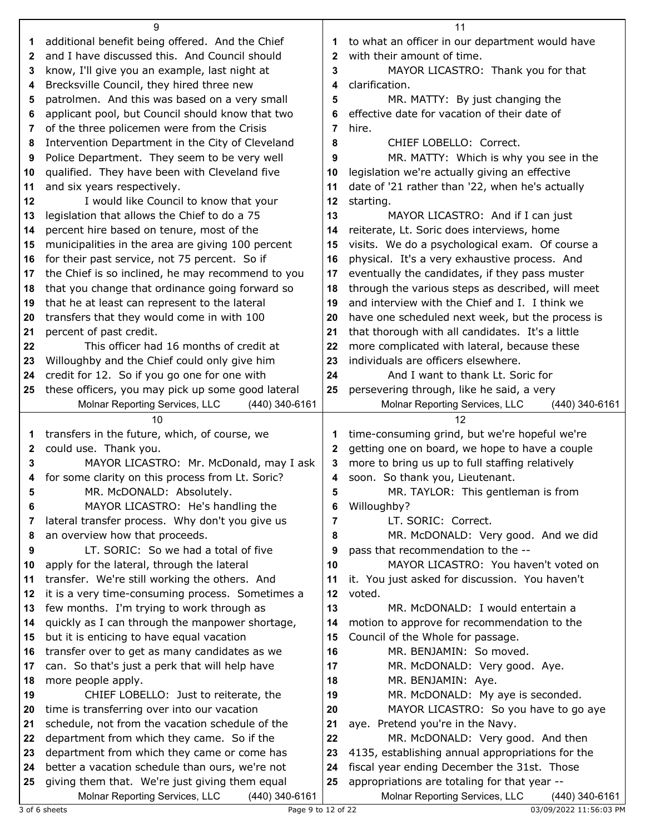|              | 9                                                                                                  |                | 11                                                                                               |  |
|--------------|----------------------------------------------------------------------------------------------------|----------------|--------------------------------------------------------------------------------------------------|--|
| 1            | additional benefit being offered. And the Chief                                                    | 1              | to what an officer in our department would have                                                  |  |
| $\mathbf{2}$ | and I have discussed this. And Council should                                                      | $\mathbf{2}$   | with their amount of time.                                                                       |  |
| 3            | know, I'll give you an example, last night at                                                      | 3              | MAYOR LICASTRO: Thank you for that                                                               |  |
| 4            | Brecksville Council, they hired three new                                                          | 4              | clarification.                                                                                   |  |
| 5            | patrolmen. And this was based on a very small                                                      | 5              | MR. MATTY: By just changing the                                                                  |  |
| 6            | applicant pool, but Council should know that two                                                   | 6              | effective date for vacation of their date of                                                     |  |
| 7            | of the three policemen were from the Crisis                                                        | 7              | hire.                                                                                            |  |
| 8            | Intervention Department in the City of Cleveland                                                   | 8              | CHIEF LOBELLO: Correct.                                                                          |  |
| 9            | Police Department. They seem to be very well                                                       | 9              | MR. MATTY: Which is why you see in the                                                           |  |
| 10           | qualified. They have been with Cleveland five                                                      | 10             | legislation we're actually giving an effective                                                   |  |
| 11           | and six years respectively.                                                                        | 11             | date of '21 rather than '22, when he's actually                                                  |  |
| 12           | I would like Council to know that your                                                             | 12             | starting.                                                                                        |  |
| 13           | legislation that allows the Chief to do a 75                                                       | 13             | MAYOR LICASTRO: And if I can just                                                                |  |
| 14           | percent hire based on tenure, most of the                                                          | 14             | reiterate, Lt. Soric does interviews, home                                                       |  |
| 15           | municipalities in the area are giving 100 percent                                                  | 15             | visits. We do a psychological exam. Of course a                                                  |  |
| 16           | for their past service, not 75 percent. So if                                                      | 16             | physical. It's a very exhaustive process. And                                                    |  |
| 17           | the Chief is so inclined, he may recommend to you                                                  | 17             | eventually the candidates, if they pass muster                                                   |  |
| 18           | that you change that ordinance going forward so                                                    | 18             | through the various steps as described, will meet                                                |  |
| 19           | that he at least can represent to the lateral                                                      | 19             | and interview with the Chief and I. I think we                                                   |  |
| 20           | transfers that they would come in with 100                                                         | 20             | have one scheduled next week, but the process is                                                 |  |
| 21           | percent of past credit.                                                                            | 21             | that thorough with all candidates. It's a little                                                 |  |
| 22           | This officer had 16 months of credit at                                                            | 22             | more complicated with lateral, because these                                                     |  |
| 23           | Willoughby and the Chief could only give him                                                       | 23             | individuals are officers elsewhere.                                                              |  |
| 24           | credit for 12. So if you go one for one with                                                       | 24             | And I want to thank Lt. Soric for                                                                |  |
| 25           | these officers, you may pick up some good lateral                                                  | 25             | persevering through, like he said, a very                                                        |  |
|              | Molnar Reporting Services, LLC<br>(440) 340-6161                                                   |                | Molnar Reporting Services, LLC<br>$(440)$ 340-6161                                               |  |
|              |                                                                                                    |                |                                                                                                  |  |
|              | 10                                                                                                 |                | 12                                                                                               |  |
| 1            | transfers in the future, which, of course, we                                                      | 1              | time-consuming grind, but we're hopeful we're                                                    |  |
| 2            | could use. Thank you.                                                                              | $\mathbf{2}$   | getting one on board, we hope to have a couple                                                   |  |
| 3            | MAYOR LICASTRO: Mr. McDonald, may I ask                                                            | 3              | more to bring us up to full staffing relatively                                                  |  |
| 4            | for some clarity on this process from Lt. Soric?                                                   | 4              | soon. So thank you, Lieutenant.                                                                  |  |
| 5            | MR. McDONALD: Absolutely.                                                                          | 5              | MR. TAYLOR: This gentleman is from                                                               |  |
| 6            | MAYOR LICASTRO: He's handling the                                                                  | 6              | Willoughby?                                                                                      |  |
| 7            | lateral transfer process. Why don't you give us                                                    | $\overline{7}$ | LT. SORIC: Correct.                                                                              |  |
| 8            | an overview how that proceeds.                                                                     | 8              | MR. McDONALD: Very good. And we did                                                              |  |
| 9            | LT. SORIC: So we had a total of five                                                               | 9              | pass that recommendation to the --                                                               |  |
| 10           | apply for the lateral, through the lateral                                                         | 10             | MAYOR LICASTRO: You haven't voted on                                                             |  |
| 11           | transfer. We're still working the others. And                                                      | 11             | it. You just asked for discussion. You haven't                                                   |  |
| 12<br>13     | it is a very time-consuming process. Sometimes a                                                   | 12<br>13       | voted.<br>MR. McDONALD: I would entertain a                                                      |  |
| 14           | few months. I'm trying to work through as                                                          | 14             |                                                                                                  |  |
| 15           | quickly as I can through the manpower shortage,                                                    | 15             | motion to approve for recommendation to the<br>Council of the Whole for passage.                 |  |
| 16           | but it is enticing to have equal vacation<br>transfer over to get as many candidates as we         | 16             | MR. BENJAMIN: So moved.                                                                          |  |
| 17           | can. So that's just a perk that will help have                                                     | 17             | MR. McDONALD: Very good. Aye.                                                                    |  |
| 18           | more people apply.                                                                                 | 18             | MR. BENJAMIN: Aye.                                                                               |  |
| 19           | CHIEF LOBELLO: Just to reiterate, the                                                              | 19             | MR. McDONALD: My aye is seconded.                                                                |  |
| 20           | time is transferring over into our vacation                                                        | 20             | MAYOR LICASTRO: So you have to go aye                                                            |  |
| 21           | schedule, not from the vacation schedule of the                                                    | 21             | aye. Pretend you're in the Navy.                                                                 |  |
| 22           | department from which they came. So if the                                                         | 22             | MR. McDONALD: Very good. And then                                                                |  |
| 23           | department from which they came or come has                                                        | 23             | 4135, establishing annual appropriations for the                                                 |  |
| 24           | better a vacation schedule than ours, we're not                                                    | 24             | fiscal year ending December the 31st. Those                                                      |  |
| 25           | giving them that. We're just giving them equal<br>Molnar Reporting Services, LLC<br>(440) 340-6161 | 25             | appropriations are totaling for that year --<br>Molnar Reporting Services, LLC<br>(440) 340-6161 |  |

3 of 6 sheets Page 9 to 12 of 22 03/09/2022 11:56:03 PM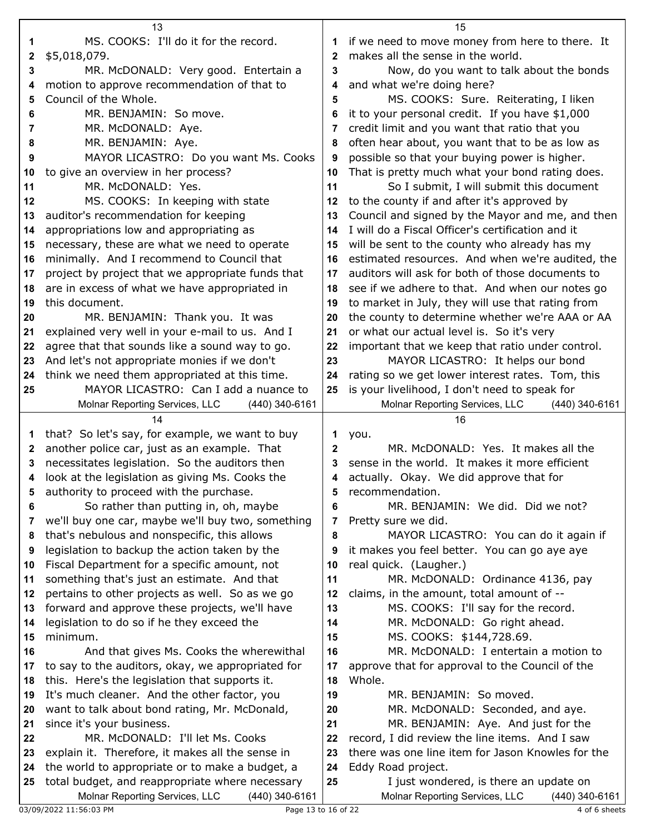|    | 13                                                                                                  |    | 15                                                                                         |  |
|----|-----------------------------------------------------------------------------------------------------|----|--------------------------------------------------------------------------------------------|--|
| 1  | MS. COOKS: I'll do it for the record.                                                               | 1  | if we need to move money from here to there. It                                            |  |
| 2  | \$5,018,079.                                                                                        | 2  | makes all the sense in the world.                                                          |  |
| 3  | MR. McDONALD: Very good. Entertain a                                                                | 3  | Now, do you want to talk about the bonds                                                   |  |
| 4  | motion to approve recommendation of that to                                                         | 4  | and what we're doing here?                                                                 |  |
| 5  | Council of the Whole.                                                                               | 5  | MS. COOKS: Sure. Reiterating, I liken                                                      |  |
|    | MR. BENJAMIN: So move.                                                                              |    |                                                                                            |  |
| 6  |                                                                                                     | 6  | it to your personal credit. If you have \$1,000                                            |  |
| 7  | MR. McDONALD: Aye.                                                                                  | 7  | credit limit and you want that ratio that you                                              |  |
| 8  | MR. BENJAMIN: Aye.                                                                                  | 8  | often hear about, you want that to be as low as                                            |  |
| 9  | MAYOR LICASTRO: Do you want Ms. Cooks                                                               | 9  | possible so that your buying power is higher.                                              |  |
| 10 | to give an overview in her process?                                                                 | 10 | That is pretty much what your bond rating does.                                            |  |
| 11 | MR. McDONALD: Yes.                                                                                  | 11 | So I submit, I will submit this document                                                   |  |
| 12 | MS. COOKS: In keeping with state                                                                    | 12 | to the county if and after it's approved by                                                |  |
| 13 | auditor's recommendation for keeping                                                                | 13 | Council and signed by the Mayor and me, and then                                           |  |
| 14 | appropriations low and appropriating as                                                             | 14 | I will do a Fiscal Officer's certification and it                                          |  |
| 15 | necessary, these are what we need to operate                                                        | 15 | will be sent to the county who already has my                                              |  |
| 16 | minimally. And I recommend to Council that                                                          | 16 | estimated resources. And when we're audited, the                                           |  |
| 17 | project by project that we appropriate funds that                                                   | 17 | auditors will ask for both of those documents to                                           |  |
| 18 | are in excess of what we have appropriated in                                                       | 18 | see if we adhere to that. And when our notes go                                            |  |
| 19 | this document.                                                                                      | 19 | to market in July, they will use that rating from                                          |  |
| 20 | MR. BENJAMIN: Thank you. It was                                                                     | 20 | the county to determine whether we're AAA or AA                                            |  |
| 21 | explained very well in your e-mail to us. And I                                                     | 21 | or what our actual level is. So it's very                                                  |  |
| 22 | agree that that sounds like a sound way to go.                                                      | 22 | important that we keep that ratio under control.                                           |  |
| 23 | And let's not appropriate monies if we don't                                                        | 23 | MAYOR LICASTRO: It helps our bond                                                          |  |
| 24 | think we need them appropriated at this time.                                                       | 24 | rating so we get lower interest rates. Tom, this                                           |  |
| 25 | MAYOR LICASTRO: Can I add a nuance to                                                               | 25 | is your livelihood, I don't need to speak for                                              |  |
|    | Molnar Reporting Services, LLC<br>(440) 340-6161                                                    |    | Molnar Reporting Services, LLC<br>(440) 340-6161                                           |  |
|    | 14                                                                                                  |    |                                                                                            |  |
|    |                                                                                                     |    | 16                                                                                         |  |
| 1  | that? So let's say, for example, we want to buy                                                     | 1  | you.                                                                                       |  |
| 2  | another police car, just as an example. That                                                        | 2  | MR. McDONALD: Yes. It makes all the                                                        |  |
| 3  | necessitates legislation. So the auditors then                                                      | 3  | sense in the world. It makes it more efficient                                             |  |
| 4  | look at the legislation as giving Ms. Cooks the                                                     | 4  | actually. Okay. We did approve that for                                                    |  |
| 5  | authority to proceed with the purchase.                                                             | 5  | recommendation.                                                                            |  |
| 6  | So rather than putting in, oh, maybe                                                                | 6  | MR. BENJAMIN: We did. Did we not?                                                          |  |
| 7  | we'll buy one car, maybe we'll buy two, something                                                   | 7  | Pretty sure we did.                                                                        |  |
| 8  | that's nebulous and nonspecific, this allows                                                        | 8  | MAYOR LICASTRO: You can do it again if                                                     |  |
| 9  | legislation to backup the action taken by the                                                       | 9  | it makes you feel better. You can go aye aye                                               |  |
| 10 | Fiscal Department for a specific amount, not                                                        | 10 | real quick. (Laugher.)                                                                     |  |
| 11 | something that's just an estimate. And that                                                         | 11 | MR. McDONALD: Ordinance 4136, pay                                                          |  |
| 12 | pertains to other projects as well. So as we go                                                     | 12 | claims, in the amount, total amount of --                                                  |  |
| 13 | forward and approve these projects, we'll have                                                      | 13 | MS. COOKS: I'll say for the record.                                                        |  |
| 14 | legislation to do so if he they exceed the                                                          | 14 | MR. McDONALD: Go right ahead.                                                              |  |
| 15 | minimum.                                                                                            | 15 | MS. COOKS: \$144,728.69.                                                                   |  |
| 16 | And that gives Ms. Cooks the wherewithal                                                            | 16 | MR. McDONALD: I entertain a motion to                                                      |  |
| 17 | to say to the auditors, okay, we appropriated for                                                   | 17 | approve that for approval to the Council of the                                            |  |
| 18 | this. Here's the legislation that supports it.                                                      | 18 | Whole.                                                                                     |  |
| 19 | It's much cleaner. And the other factor, you                                                        | 19 | MR. BENJAMIN: So moved.                                                                    |  |
| 20 | want to talk about bond rating, Mr. McDonald,                                                       | 20 | MR. McDONALD: Seconded, and aye.                                                           |  |
| 21 | since it's your business.                                                                           | 21 | MR. BENJAMIN: Aye. And just for the                                                        |  |
| 22 | MR. McDONALD: I'll let Ms. Cooks                                                                    | 22 | record, I did review the line items. And I saw                                             |  |
| 23 | explain it. Therefore, it makes all the sense in                                                    | 23 | there was one line item for Jason Knowles for the                                          |  |
| 24 | the world to appropriate or to make a budget, a                                                     | 24 | Eddy Road project.                                                                         |  |
| 25 | total budget, and reappropriate where necessary<br>Molnar Reporting Services, LLC<br>(440) 340-6161 | 25 | I just wondered, is there an update on<br>Molnar Reporting Services, LLC<br>(440) 340-6161 |  |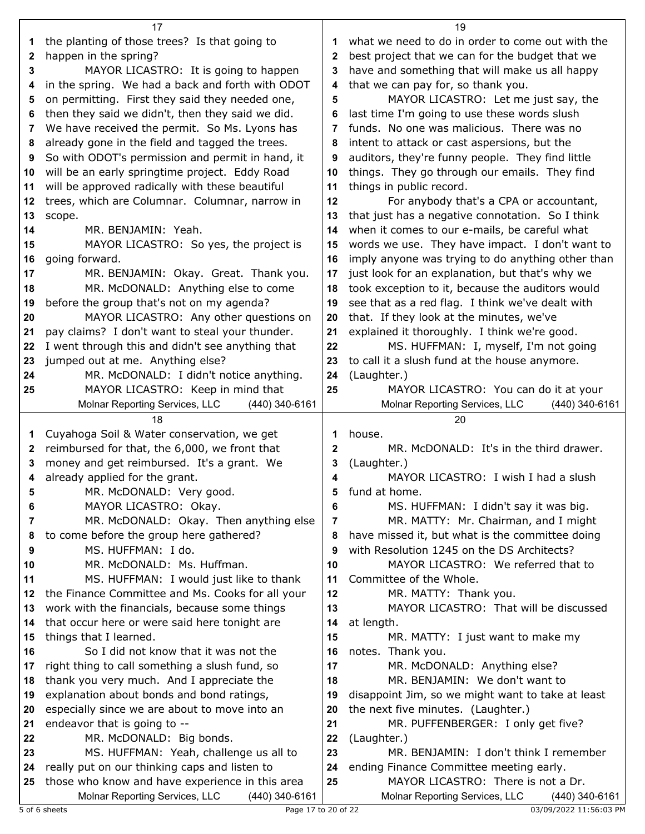|              | 17                                                                                                  |                | 19                                                                                       |
|--------------|-----------------------------------------------------------------------------------------------------|----------------|------------------------------------------------------------------------------------------|
| 1            | the planting of those trees? Is that going to                                                       |                | what we need to do in order to come out with the                                         |
| 2            | happen in the spring?                                                                               | $\mathbf{2}$   | best project that we can for the budget that we                                          |
| 3            | MAYOR LICASTRO: It is going to happen                                                               | 3              | have and something that will make us all happy                                           |
| 4            | in the spring. We had a back and forth with ODOT                                                    | 4              | that we can pay for, so thank you.                                                       |
| 5            | on permitting. First they said they needed one,                                                     | 5              | MAYOR LICASTRO: Let me just say, the                                                     |
| 6            | then they said we didn't, then they said we did.                                                    | 6              | last time I'm going to use these words slush                                             |
| 7            | We have received the permit. So Ms. Lyons has                                                       | 7              | funds. No one was malicious. There was no                                                |
| 8            | already gone in the field and tagged the trees.                                                     | 8              | intent to attack or cast aspersions, but the                                             |
| 9            | So with ODOT's permission and permit in hand, it                                                    | 9              | auditors, they're funny people. They find little                                         |
| 10           | will be an early springtime project. Eddy Road                                                      | 10             | things. They go through our emails. They find                                            |
| 11           | will be approved radically with these beautiful                                                     | 11             | things in public record.                                                                 |
| 12           | trees, which are Columnar. Columnar, narrow in                                                      | 12             | For anybody that's a CPA or accountant,                                                  |
| 13           | scope.                                                                                              | 13             | that just has a negative connotation. So I think                                         |
| 14           | MR. BENJAMIN: Yeah.                                                                                 | 14             | when it comes to our e-mails, be careful what                                            |
| 15           | MAYOR LICASTRO: So yes, the project is                                                              | 15             | words we use. They have impact. I don't want to                                          |
| 16           | going forward.                                                                                      | 16             | imply anyone was trying to do anything other than                                        |
|              |                                                                                                     | 17             | just look for an explanation, but that's why we                                          |
| 17           | MR. BENJAMIN: Okay. Great. Thank you.<br>MR. McDONALD: Anything else to come                        |                |                                                                                          |
| 18           |                                                                                                     | 18             | took exception to it, because the auditors would                                         |
| 19           | before the group that's not on my agenda?                                                           | 19             | see that as a red flag. I think we've dealt with                                         |
| 20           | MAYOR LICASTRO: Any other questions on                                                              | 20             | that. If they look at the minutes, we've                                                 |
| 21           | pay claims? I don't want to steal your thunder.                                                     | 21             | explained it thoroughly. I think we're good.                                             |
| 22           | I went through this and didn't see anything that                                                    | 22             | MS. HUFFMAN: I, myself, I'm not going                                                    |
| 23           | jumped out at me. Anything else?                                                                    | 23             | to call it a slush fund at the house anymore.                                            |
| 24           | MR. McDONALD: I didn't notice anything.                                                             | 24             | (Laughter.)                                                                              |
| 25           | MAYOR LICASTRO: Keep in mind that                                                                   | 25             | MAYOR LICASTRO: You can do it at your                                                    |
|              | Molnar Reporting Services, LLC<br>(440) 340-6161                                                    |                | Molnar Reporting Services, LLC<br>(440) 340-6161                                         |
|              |                                                                                                     |                |                                                                                          |
|              | 18                                                                                                  |                | 20                                                                                       |
| 1            | Cuyahoga Soil & Water conservation, we get                                                          | 1              | house.                                                                                   |
| $\mathbf{2}$ | reimbursed for that, the 6,000, we front that                                                       | $\mathbf{2}$   | MR. McDONALD: It's in the third drawer.                                                  |
| 3            | money and get reimbursed. It's a grant. We                                                          | 3              | (Laughter.)                                                                              |
| 4            | already applied for the grant.                                                                      | 4              | MAYOR LICASTRO: I wish I had a slush                                                     |
|              | MR. McDONALD: Very good.                                                                            |                | fund at home.                                                                            |
| 6            | MAYOR LICASTRO: Okay.                                                                               | 6              | MS. HUFFMAN: I didn't say it was big.                                                    |
| 7            | MR. McDONALD: Okay. Then anything else                                                              | $\overline{7}$ | MR. MATTY: Mr. Chairman, and I might                                                     |
| 8            | to come before the group here gathered?                                                             | 8              | have missed it, but what is the committee doing                                          |
| 9            | MS. HUFFMAN: I do.                                                                                  | 9              | with Resolution 1245 on the DS Architects?                                               |
| 10           | MR. McDONALD: Ms. Huffman.                                                                          | 10             | MAYOR LICASTRO: We referred that to                                                      |
| 11           | MS. HUFFMAN: I would just like to thank                                                             | 11             | Committee of the Whole.                                                                  |
| 12           | the Finance Committee and Ms. Cooks for all your                                                    | 12             | MR. MATTY: Thank you.                                                                    |
| 13           | work with the financials, because some things                                                       | 13             | MAYOR LICASTRO: That will be discussed                                                   |
| 14           | that occur here or were said here tonight are                                                       | 14             | at length.                                                                               |
| 15           | things that I learned.                                                                              | 15             | MR. MATTY: I just want to make my                                                        |
| 16           | So I did not know that it was not the                                                               | 16             | notes. Thank you.                                                                        |
| 17           | right thing to call something a slush fund, so                                                      | 17             | MR. McDONALD: Anything else?                                                             |
| 18           | thank you very much. And I appreciate the                                                           | 18             | MR. BENJAMIN: We don't want to                                                           |
| 19           | explanation about bonds and bond ratings,                                                           | 19             | disappoint Jim, so we might want to take at least                                        |
| 20           | especially since we are about to move into an                                                       | 20             | the next five minutes. (Laughter.)                                                       |
| 21           | endeavor that is going to --                                                                        | 21             | MR. PUFFENBERGER: I only get five?                                                       |
| 22           | MR. McDONALD: Big bonds.                                                                            | 22             | (Laughter.)                                                                              |
| 23           | MS. HUFFMAN: Yeah, challenge us all to                                                              | 23             | MR. BENJAMIN: I don't think I remember                                                   |
| 24           | really put on our thinking caps and listen to                                                       | 24             | ending Finance Committee meeting early.                                                  |
| 25           | those who know and have experience in this area<br>Molnar Reporting Services, LLC<br>(440) 340-6161 | 25             | MAYOR LICASTRO: There is not a Dr.<br>Molnar Reporting Services, LLC<br>$(440)$ 340-6161 |